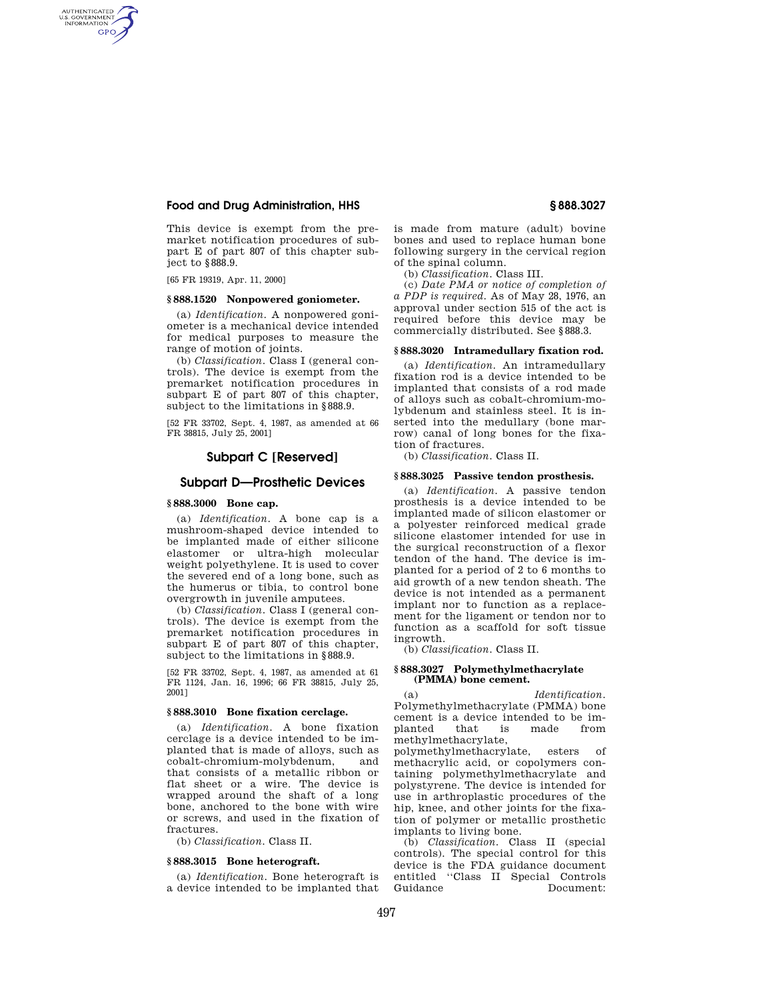# **Food and Drug Administration, HHS § 888.3027**

This device is exempt from the premarket notification procedures of subpart E of part 807 of this chapter subject to §888.9.

[65 FR 19319, Apr. 11, 2000]

AUTHENTICATED<br>U.S. GOVERNMENT<br>INFORMATION **GPO** 

# **§ 888.1520 Nonpowered goniometer.**

(a) *Identification.* A nonpowered goniometer is a mechanical device intended for medical purposes to measure the range of motion of joints.

(b) *Classification.* Class I (general controls). The device is exempt from the premarket notification procedures in subpart E of part 807 of this chapter, subject to the limitations in §888.9.

[52 FR 33702, Sept. 4, 1987, as amended at 66 FR 38815, July 25, 2001]

# **Subpart C [Reserved]**

# **Subpart D—Prosthetic Devices**

### **§ 888.3000 Bone cap.**

(a) *Identification.* A bone cap is a mushroom-shaped device intended to be implanted made of either silicone elastomer or ultra-high molecular weight polyethylene. It is used to cover the severed end of a long bone, such as the humerus or tibia, to control bone overgrowth in juvenile amputees.

(b) *Classification.* Class I (general controls). The device is exempt from the premarket notification procedures in subpart E of part 807 of this chapter, subject to the limitations in §888.9.

[52 FR 33702, Sept. 4, 1987, as amended at 61 FR 1124, Jan. 16, 1996; 66 FR 38815, July 25, 2001]

#### **§ 888.3010 Bone fixation cerclage.**

(a) *Identification.* A bone fixation cerclage is a device intended to be implanted that is made of alloys, such as cobalt-chromium-molybdenum, and that consists of a metallic ribbon or flat sheet or a wire. The device is wrapped around the shaft of a long bone, anchored to the bone with wire or screws, and used in the fixation of fractures.

(b) *Classification.* Class II.

# **§ 888.3015 Bone heterograft.**

(a) *Identification.* Bone heterograft is a device intended to be implanted that is made from mature (adult) bovine bones and used to replace human bone following surgery in the cervical region of the spinal column.

(b) *Classification.* Class III.

(c) *Date PMA or notice of completion of a PDP is required.* As of May 28, 1976, an approval under section 515 of the act is required before this device may be commercially distributed. See §888.3.

## **§ 888.3020 Intramedullary fixation rod.**

(a) *Identification.* An intramedullary fixation rod is a device intended to be implanted that consists of a rod made of alloys such as cobalt-chromium-molybdenum and stainless steel. It is inserted into the medullary (bone marrow) canal of long bones for the fixation of fractures.

(b) *Classification.* Class II.

#### **§ 888.3025 Passive tendon prosthesis.**

(a) *Identification.* A passive tendon prosthesis is a device intended to be implanted made of silicon elastomer or a polyester reinforced medical grade silicone elastomer intended for use in the surgical reconstruction of a flexor tendon of the hand. The device is implanted for a period of 2 to 6 months to aid growth of a new tendon sheath. The device is not intended as a permanent implant nor to function as a replacement for the ligament or tendon nor to function as a scaffold for soft tissue ingrowth.

(b) *Classification.* Class II.

### **§ 888.3027 Polymethylmethacrylate (PMMA) bone cement.**

(a) *Identification.*  Polymethylmethacrylate (PMMA) bone cement is a device intended to be implanted that is made methylmethacrylate,

polymethylmethacrylate, esters of methacrylic acid, or copolymers containing polymethylmethacrylate and polystyrene. The device is intended for use in arthroplastic procedures of the hip, knee, and other joints for the fixation of polymer or metallic prosthetic implants to living bone.

(b) *Classification.* Class II (special controls). The special control for this device is the FDA guidance document entitled "Class II Special Controls<br>Guidance Document: Document: